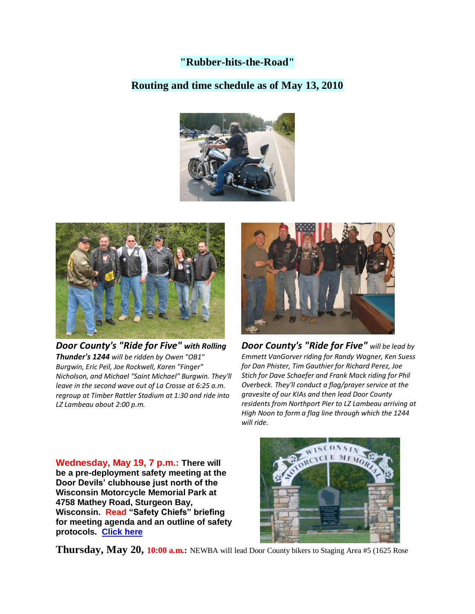# **"Rubber-hits-the-Road"**

### **Routing and time schedule as of May 13, 2010**





*Door County's "Ride for Five" with Rolling Thunder's 1244 will be ridden by Owen "OB1" Burgwin, Eric Peil, Joe Rockwell, Karen "Finger" Nicholson, and Michael "Saint Michael" Burgwin. They'll leave in the second wave out of La Crosse at 6:25 a.m. regroup at Timber Rattler Stadium at 1:30 and ride into LZ Lambeau about 2:00 p.m.*



*Door County's "Ride for Five" will be lead by Emmett VanGorver riding for Randy Wagner, Ken Suess for Dan Phister, Tim Gauthier for Richard Perez, Joe Stich for Dave Schaefer and Frank Mack riding for Phil Overbeck. They'll conduct a flag/prayer service at the gravesite of our KIAs and then lead Door County residents from Northport Pier to LZ Lambeau arriving at High Noon to form a flag line through which the 1244 will ride.*

**Wednesday, May 19, 7 p.m.: There will be a pre-deployment safety meeting at the Door Devils' clubhouse just north of the Wisconsin Motorcycle Memorial Park at 4758 Mathey Road, Sturgeon Bay, Wisconsin. Read "Safety Chiefs" briefing for meeting agenda and an outline of safety protocols. [Click here](LZLambeauSafetyOfficerApril1.pdf)**



**Thursday, May 20, 10:00 a.m.:** NEWBA will lead Door County bikers to Staging Area #5 (1625 Rose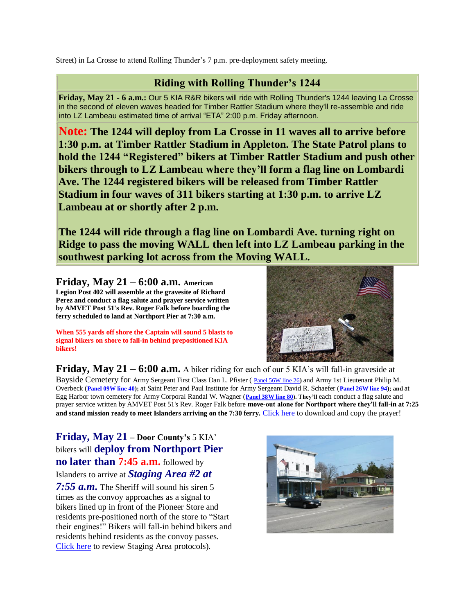Street) in La Crosse to attend Rolling Thunder's 7 p.m. pre-deployment safety meeting.

# **Riding with Rolling Thunder's 1244**

**Friday, May 21 - 6 a.m.:** Our 5 KIA R&R bikers will ride with Rolling Thunder's 1244 leaving La Crosse in the second of eleven waves headed for Timber Rattler Stadium where they'll re-assemble and ride into LZ Lambeau estimated time of arrival "ETA" 2:00 p.m. Friday afternoon.

**Note: The 1244 will deploy from La Crosse in 11 waves all to arrive before 1:30 p.m. at Timber Rattler Stadium in Appleton. The State Patrol plans to hold the 1244 "Registered" bikers at Timber Rattler Stadium and push other bikers through to LZ Lambeau where they'll form a flag line on Lombardi Ave. The 1244 registered bikers will be released from Timber Rattler Stadium in four waves of 311 bikers starting at 1:30 p.m. to arrive LZ Lambeau at or shortly after 2 p.m.** 

**The 1244 will ride through a flag line on Lombardi Ave. turning right on Ridge to pass the moving WALL then left into LZ Lambeau parking in the southwest parking lot across from the Moving WALL.** 

**Friday, May 21 – 6:00 a.m. American Legion Post 402 will assemble at the gravesite of Richard Perez and conduct a flag salute and prayer service written by AMVET Post 51's Rev. Roger Falk before boarding the ferry scheduled to land at Northport Pier at 7:30 a.m.**

**When 555 yards off shore the Captain will sound 5 blasts to signal bikers on shore to fall-in behind prepositioned KIA bikers!**



**Friday, May 21 – 6:00 a.m.** A biker riding for each of our 5 KIA's will fall-in graveside at Bayside Cemetery for Army Sergeant First Class Dan L. Pfister ( [Panel 56W line 26](http://thewall-usa.com/info.asp?recid=40545)**)** and Army 1st Lieutenant Philip M. Overbeck (**[Panel 09W line 40\)](http://thewall-usa.com/info.asp?recid=38970);** at Saint Peter and Paul Institute for Army Sergeant David R. Schaefer (**[Panel 26W line 94\)](http://thewall-usa.com/info.asp?recid=45799); and** at Egg Harbor town cemetery for Army Corporal Randal W. Wagner (**[Panel 38W line 80\)](http://thewall-usa.com/info.asp?recid=54023). They'll** each conduct a flag salute and prayer service written by AMVET Post 51's Rev. Roger Falk before **move-out alone for Northport where they'll fall-in at 7:25 and stand mission ready to meet Islanders arriving on the 7:30 ferry.** [Click here](Roger_Falk_LZLambeauEternalGod.pdf) to download and copy the prayer!

**Friday, May 21 – Door County's** 5 KIA' bikers will **deploy from Northport Pier no later than 7:45 a.m.** followed by Islanders to arrive at *Staging Area #2 at 7:55 a.m.* The Sheriff will sound his siren 5

times as the convoy approaches as a signal to bikers lined up in front of the Pioneer Store and residents pre-positioned north of the store to "Start their engines!" Bikers will fall-in behind bikers and residents behind residents as the convoy passes. [Click here](LZLambeauStagingAreaMgmtApril10.pdf) to review Staging Area protocols).

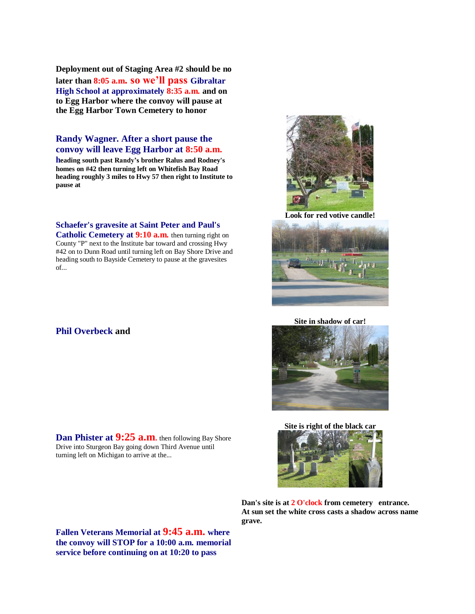**Deployment out of Staging Area #2 should be no later than 8:05 a.m. so we'll pass Gibraltar High School at approximately 8:35 a.m. and on to Egg Harbor where the convoy will pause at the Egg Harbor Town Cemetery to honor** 

#### **Randy Wagner. After a short pause the convoy will leave Egg Harbor at 8:50 a.m.**

**heading south past Randy's brother Ralus and Rodney's homes on #42 then turning left on Whitefish Bay Road heading roughly 3 miles to Hwy 57 then right to Institute to pause at**

**Schaefer's gravesite at Saint Peter and Paul's** 

**Catholic Cemetery at 9:10 a.m.** then turning right on County "P" next to the Institute bar toward and crossing Hwy #42 on to Dunn Road until turning left on Bay Shore Drive and heading south to Bayside Cemetery to pause at the gravesites of...

#### **Phil Overbeck and**

Drive into Sturgeon Bay going down Third Avenue until turning left on Michigan to arrive at the...





**Look for red votive candle!**



**Site in shadow of car!**



**Site is right of the black car**



**Dan's site is at 2 O'clock from cemetery entrance. At sun set the white cross casts a shadow across name grave.**

**Fallen Veterans Memorial at 9:45 a.m. where the convoy will STOP for a 10:00 a.m. memorial service before continuing on at 10:20 to pass**